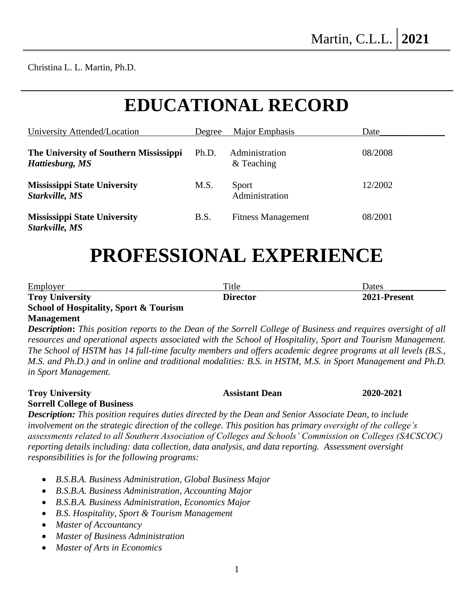# **EDUCATIONAL RECORD**

| University Attended/Location                              | Degree | Major Emphasis               | Date    |
|-----------------------------------------------------------|--------|------------------------------|---------|
| The University of Southern Mississippi<br>Hattiesburg, MS | Ph.D.  | Administration<br>& Teaching | 08/2008 |
| <b>Mississippi State University</b><br>Starkville, MS     | M.S.   | Sport<br>Administration      | 12/2002 |
| <b>Mississippi State University</b><br>Starkville, MS     | B.S.   | <b>Fitness Management</b>    | 08/2001 |

# **PROFESSIONAL EXPERIENCE**

| Employer                                          | Title           | Dates        |
|---------------------------------------------------|-----------------|--------------|
| <b>Troy University</b>                            | <b>Director</b> | 2021-Present |
| <b>School of Hospitality, Sport &amp; Tourism</b> |                 |              |

### **Management**

*Description***:** *This position reports to the Dean of the Sorrell College of Business and requires oversight of all resources and operational aspects associated with the School of Hospitality, Sport and Tourism Management. The School of HSTM has 14 full-time faculty members and offers academic degree programs at all levels (B.S., M.S. and Ph.D.) and in online and traditional modalities: B.S. in HSTM, M.S. in Sport Management and Ph.D. in Sport Management.* 

### **Troy University Assistant Dean 2020-2021 Sorrell College of Business**

*Description: This position requires duties directed by the Dean and Senior Associate Dean, to include involvement on the strategic direction of the college. This position has primary oversight of the college's assessments related to all Southern Association of Colleges and Schools' Commission on Colleges (SACSCOC) reporting details including: data collection, data analysis, and data reporting. Assessment oversight responsibilities is for the following programs:* 

- *B.S.B.A. Business Administration, Global Business Major*
- *B.S.B.A. Business Administration, Accounting Major*
- *B.S.B.A. Business Administration, Economics Major*
- *B.S. Hospitality, Sport & Tourism Management*
- *Master of Accountancy*
- *Master of Business Administration*
- *Master of Arts in Economics*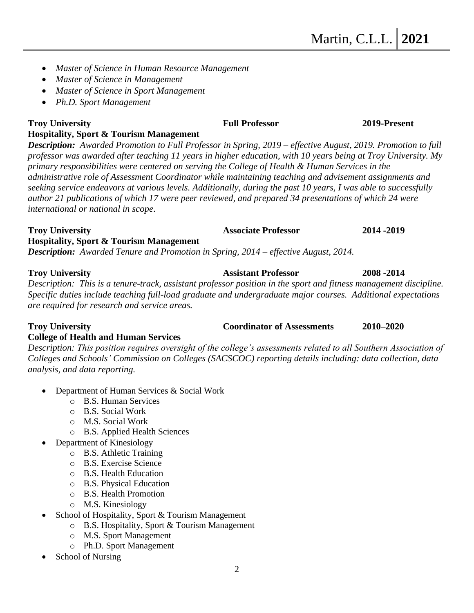- *Master of Science in Human Resource Management*
- *Master of Science in Management*
- *Master of Science in Sport Management*
- *Ph.D. Sport Management*

## **Troy University Full Professor 2019-Present Hospitality, Sport & Tourism Management**

*Description: Awarded Promotion to Full Professor in Spring, 2019 – effective August, 2019. Promotion to full professor was awarded after teaching 11 years in higher education, with 10 years being at Troy University. My primary responsibilities were centered on serving the College of Health & Human Services in the administrative role of Assessment Coordinator while maintaining teaching and advisement assignments and seeking service endeavors at various levels. Additionally, during the past 10 years, I was able to successfully author 21 publications of which 17 were peer reviewed, and prepared 34 presentations of which 24 were international or national in scope*.

## **Troy University Associate Professor 2014 -2019 Hospitality, Sport & Tourism Management** *Description: Awarded Tenure and Promotion in Spring, 2014 – effective August, 2014.*

## **Troy University Assistant Professor 2008 -2014**

*Description: This is a tenure-track, assistant professor position in the sport and fitness management discipline. Specific duties include teaching full-load graduate and undergraduate major courses. Additional expectations are required for research and service areas.*

# **Troy University Coordinator of Assessments 2010–2020 College of Health and Human Services** *Description: This position requires oversight of the college's assessments related to all Southern Association of*

*Colleges and Schools' Commission on Colleges (SACSCOC) reporting details including: data collection, data analysis, and data reporting.* 

- Department of Human Services & Social Work
	- o B.S. Human Services
	- o B.S. Social Work
	- o M.S. Social Work
	- o B.S. Applied Health Sciences
- Department of Kinesiology
	- o B.S. Athletic Training
	- o B.S. Exercise Science
	- o B.S. Health Education
	- o B.S. Physical Education
	- o B.S. Health Promotion
	- o M.S. Kinesiology
- School of Hospitality, Sport & Tourism Management
	- o B.S. Hospitality, Sport & Tourism Management
	- o M.S. Sport Management
	- o Ph.D. Sport Management
- School of Nursing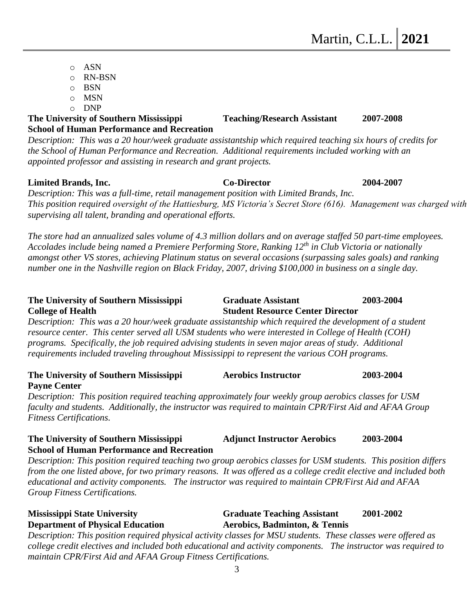- o ASN
- o RN-BSN
- o BSN
- o MSN
- o DNP

### **The University of Southern Mississippi Teaching/Research Assistant 2007-2008 School of Human Performance and Recreation**

*Description: This was a 20 hour/week graduate assistantship which required teaching six hours of credits for the School of Human Performance and Recreation. Additional requirements included working with an appointed professor and assisting in research and grant projects.* 

### **Limited Brands, Inc. Co-Director 2004-2007**

*Description: This was a full-time, retail management position with Limited Brands, Inc. This position required oversight of the Hattiesburg, MS Victoria's Secret Store (616). Management was charged with supervising all talent, branding and operational efforts.* 

*The store had an annualized sales volume of 4.3 million dollars and on average staffed 50 part-time employees. Accolades include being named a Premiere Performing Store, Ranking 12th in Club Victoria or nationally amongst other VS stores, achieving Platinum status on several occasions (surpassing sales goals) and ranking number one in the Nashville region on Black Friday, 2007, driving \$100,000 in business on a single day.* 

### **The University of Southern Mississippi Graduate Assistant 2003-2004 College of Health Student Resource Center Director**

*Description: This was a 20 hour/week graduate assistantship which required the development of a student resource center. This center served all USM students who were interested in College of Health (COH) programs. Specifically, the job required advising students in seven major areas of study. Additional requirements included traveling throughout Mississippi to represent the various COH programs.* 

## **The University of Southern Mississippi Aerobics Instructor 2003-2004 Payne Center**

*Description: This position required teaching approximately four weekly group aerobics classes for USM faculty and students. Additionally, the instructor was required to maintain CPR/First Aid and AFAA Group Fitness Certifications.*

### **The University of Southern Mississippi Adjunct Instructor Aerobics 2003-2004 School of Human Performance and Recreation**

*Description: This position required teaching two group aerobics classes for USM students. This position differs from the one listed above, for two primary reasons. It was offered as a college credit elective and included both educational and activity components. The instructor was required to maintain CPR/First Aid and AFAA Group Fitness Certifications.*

## **Mississippi State University Graduate Teaching Assistant 2001-2002 Department of Physical Education Aerobics, Badminton, & Tennis**

*Description: This position required physical activity classes for MSU students. These classes were offered as college credit electives and included both educational and activity components. The instructor was required to maintain CPR/First Aid and AFAA Group Fitness Certifications.*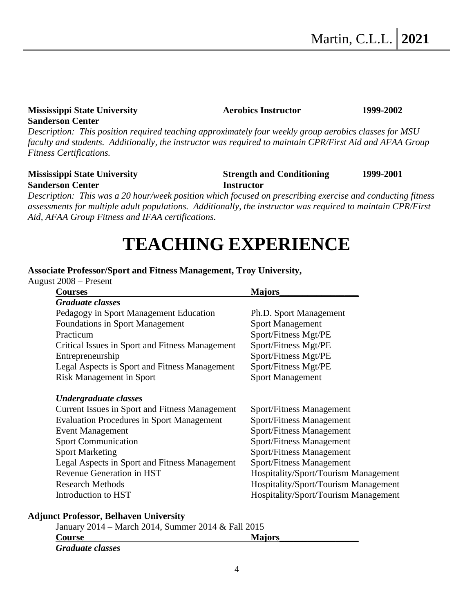### **Mississippi State University Aerobics Instructor** 1999-2002 **Sanderson Center**

*Description: This position required teaching approximately four weekly group aerobics classes for MSU faculty and students. Additionally, the instructor was required to maintain CPR/First Aid and AFAA Group Fitness Certifications.*

### **Mississippi State University Strength and Conditioning 1999-2001 Sanderson Center Instructor**

*Description: This was a 20 hour/week position which focused on prescribing exercise and conducting fitness assessments for multiple adult populations. Additionally, the instructor was required to maintain CPR/First Aid, AFAA Group Fitness and IFAA certifications.*

# **TEACHING EXPERIENCE**

### **Associate Professor/Sport and Fitness Management, Troy University,**

August 2008 – Present

| <b>Courses</b>                                                                                                                                                                                                                                                                                                          | <b>Majors</b>                                                                                                                                                                                                                                        |
|-------------------------------------------------------------------------------------------------------------------------------------------------------------------------------------------------------------------------------------------------------------------------------------------------------------------------|------------------------------------------------------------------------------------------------------------------------------------------------------------------------------------------------------------------------------------------------------|
| <b>Graduate classes</b>                                                                                                                                                                                                                                                                                                 |                                                                                                                                                                                                                                                      |
| Pedagogy in Sport Management Education                                                                                                                                                                                                                                                                                  | Ph.D. Sport Management                                                                                                                                                                                                                               |
| <b>Foundations in Sport Management</b>                                                                                                                                                                                                                                                                                  | <b>Sport Management</b>                                                                                                                                                                                                                              |
| Practicum                                                                                                                                                                                                                                                                                                               | Sport/Fitness Mgt/PE                                                                                                                                                                                                                                 |
| Critical Issues in Sport and Fitness Management                                                                                                                                                                                                                                                                         | Sport/Fitness Mgt/PE                                                                                                                                                                                                                                 |
| Entrepreneurship                                                                                                                                                                                                                                                                                                        | Sport/Fitness Mgt/PE                                                                                                                                                                                                                                 |
| Legal Aspects is Sport and Fitness Management                                                                                                                                                                                                                                                                           | Sport/Fitness Mgt/PE                                                                                                                                                                                                                                 |
| <b>Risk Management in Sport</b>                                                                                                                                                                                                                                                                                         | <b>Sport Management</b>                                                                                                                                                                                                                              |
| Undergraduate classes<br>Current Issues in Sport and Fitness Management<br><b>Evaluation Procedures in Sport Management</b><br><b>Event Management</b><br><b>Sport Communication</b><br><b>Sport Marketing</b><br>Legal Aspects in Sport and Fitness Management<br>Revenue Generation in HST<br><b>Research Methods</b> | Sport/Fitness Management<br>Sport/Fitness Management<br>Sport/Fitness Management<br>Sport/Fitness Management<br>Sport/Fitness Management<br>Sport/Fitness Management<br>Hospitality/Sport/Tourism Management<br>Hospitality/Sport/Tourism Management |
| Introduction to HST                                                                                                                                                                                                                                                                                                     | Hospitality/Sport/Tourism Management                                                                                                                                                                                                                 |

### **Adjunct Professor, Belhaven University**

| January 2014 – March 2014, Summer 2014 & Fall 2015 |               |
|----------------------------------------------------|---------------|
| <b>Course</b>                                      | <b>Majors</b> |
| <b>Graduate classes</b>                            |               |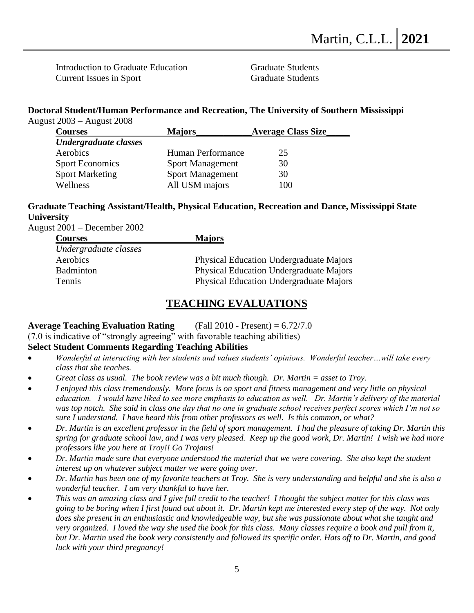Introduction to Graduate Education Graduate Students **Current Issues in Sport Graduate Students** 

### **Doctoral Student/Human Performance and Recreation, The University of Southern Mississippi** August 2003 – August 2008

| <b>Courses</b>         | <b>Majors</b>           | <b>Average Class Size</b> |
|------------------------|-------------------------|---------------------------|
| Undergraduate classes  |                         |                           |
| Aerobics               | Human Performance       | 25                        |
| <b>Sport Economics</b> | <b>Sport Management</b> | 30                        |
| <b>Sport Marketing</b> | <b>Sport Management</b> | 30                        |
| Wellness               | All USM majors          | 100                       |

### **Graduate Teaching Assistant/Health, Physical Education, Recreation and Dance, Mississippi State University**

August 2001 – December 2002

| <b>Courses</b>        | <b>Majors</b>                                  |
|-----------------------|------------------------------------------------|
| Undergraduate classes |                                                |
| Aerobics              | <b>Physical Education Undergraduate Majors</b> |
| Badminton             | Physical Education Undergraduate Majors        |
| Tennis                | <b>Physical Education Undergraduate Majors</b> |
|                       |                                                |

# **TEACHING EVALUATIONS**

**Average Teaching Evaluation Rating** (Fall 2010 - Present) = 6.72/7.0

(7.0 is indicative of "strongly agreeing" with favorable teaching abilities)

### **Select Student Comments Regarding Teaching Abilities**

- *Wonderful at interacting with her students and values students' opinions. Wonderful teacher…will take every class that she teaches.*
- *Great class as usual. The book review was a bit much though. Dr. Martin = asset to Troy.*
- *I enjoyed this class tremendously. More focus is on sport and fitness management and very little on physical education. I would have liked to see more emphasis to education as well. Dr. Martin's delivery of the material was top notch. She said in class one day that no one in graduate school receives perfect scores which I'm not so sure I understand. I have heard this from other professors as well. Is this common, or what?*
- *Dr. Martin is an excellent professor in the field of sport management. I had the pleasure of taking Dr. Martin this spring for graduate school law, and I was very pleased. Keep up the good work, Dr. Martin! I wish we had more professors like you here at Troy!! Go Trojans!*
- *Dr. Martin made sure that everyone understood the material that we were covering. She also kept the student interest up on whatever subject matter we were going over.*
- *Dr. Martin has been one of my favorite teachers at Troy. She is very understanding and helpful and she is also a wonderful teacher. I am very thankful to have her.*
- *This was an amazing class and I give full credit to the teacher! I thought the subject matter for this class was going to be boring when I first found out about it. Dr. Martin kept me interested every step of the way. Not only does she present in an enthusiastic and knowledgeable way, but she was passionate about what she taught and very organized. I loved the way she used the book for this class. Many classes require a book and pull from it, but Dr. Martin used the book very consistently and followed its specific order. Hats off to Dr. Martin, and good luck with your third pregnancy!*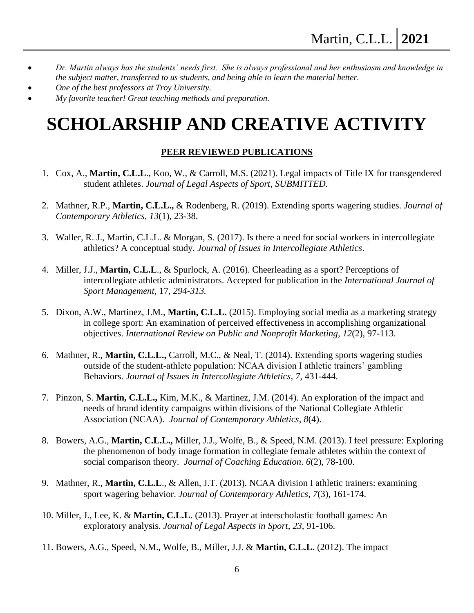- *Dr. Martin always has the students' needs first. She is always professional and her enthusiasm and knowledge in the subject matter, transferred to us students, and being able to learn the material better.*
- *One of the best professors at Troy University.*
- *My favorite teacher! Great teaching methods and preparation.*

# **SCHOLARSHIP AND CREATIVE ACTIVITY**

## **PEER REVIEWED PUBLICATIONS**

- 1. Cox, A., **Martin, C.L.L**., Koo, W., & Carroll, M.S. (2021). Legal impacts of Title IX for transgendered student athletes. *Journal of Legal Aspects of Sport, SUBMITTED.*
- 2. Mathner, R.P., **Martin, C.L.L.,** & Rodenberg, R. (2019). Extending sports wagering studies. *Journal of Contemporary Athletics*, *13*(1), 23-38.
- 3. Waller, R. J., Martin, C.L.L. & Morgan, S. (2017). Is there a need for social workers in intercollegiate athletics? A conceptual study. *Journal of Issues in Intercollegiate Athletics*.
- 4. Miller, J.J., **Martin, C.L.L**., & Spurlock, A. (2016). Cheerleading as a sport? Perceptions of intercollegiate athletic administrators. Accepted for publication in the *International Journal of Sport Management,* 17*, 294-313.*
- 5. Dixon, A.W., Martinez, J.M., **Martin, C.L.L.** (2015). Employing social media as a marketing strategy in college sport: An examination of perceived effectiveness in accomplishing organizational objectives. *International Review on Public and Nonprofit Marketing, 12*(2), 97-113.
- 6. Mathner, R., **Martin, C.L.L.,** Carroll, M.C., & Neal, T. (2014). Extending sports wagering studies outside of the student-athlete population: NCAA division I athletic trainers' gambling Behaviors. *Journal of Issues in Intercollegiate Athletics*, *7,* 431-444.
- 7. Pinzon, S. **Martin, C.L.L.,** Kim, M.K., & Martinez, J.M. (2014). An exploration of the impact and needs of brand identity campaigns within divisions of the National Collegiate Athletic Association (NCAA). *Journal of Contemporary Athletics, 8*(4).
- 8. Bowers, A.G., **Martin, C.L.L.,** Miller, J.J., Wolfe, B., & Speed, N.M. (2013). I feel pressure: Exploring the phenomenon of body image formation in collegiate female athletes within the context of social comparison theory. *Journal of Coaching Education*. *6*(2), 78-100.
- 9. Mathner, R., **Martin, C.L.L**., & Allen, J.T. (2013). NCAA division I athletic trainers: examining sport wagering behavior. *Journal of Contemporary Athletics, 7*(3), 161-174.
- 10. Miller, J., Lee, K. & **Martin, C.L.L**. (2013). Prayer at interscholastic football games: An exploratory analysis. *Journal of Legal Aspects in Sport*, *23*, 91-106.
- 11. Bowers, A.G., Speed, N.M., Wolfe, B., Miller, J.J. & **Martin, C.L.L.** (2012). The impact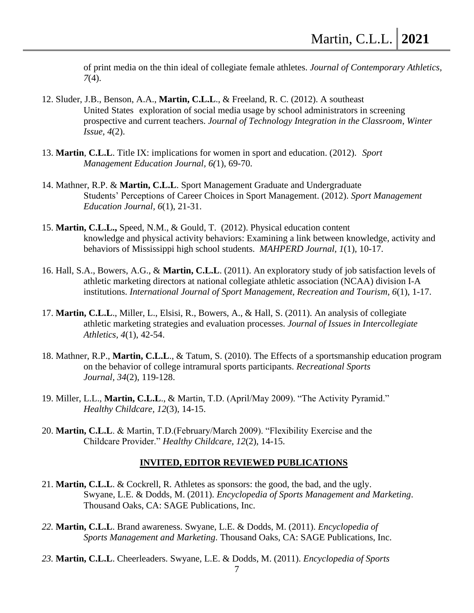of print media on the thin ideal of collegiate female athletes. *Journal of Contemporary Athletics, 7*(4).

- 12. Sluder, J.B., Benson, A.A., **Martin, C.L.L**., & Freeland, R. C. (2012). A southeast United States exploration of social media usage by school administrators in screening prospective and current teachers. *Journal of Technology Integration in the Classroom*, *Winter Issue, 4*(2).
- 13. **Martin**, **C.L.L**. Title IX: implications for women in sport and education. (2012). *Sport Management Education Journal, 6(*1), 69-70.
- 14. Mathner, R.P. & **Martin, C.L.L**. Sport Management Graduate and Undergraduate Students' Perceptions of Career Choices in Sport Management. (2012). *Sport Management Education Journal, 6*(1), 21-31.
- 15. **Martin, C.L.L.,** Speed, N.M., & Gould, T. (2012). Physical education content knowledge and physical activity behaviors: Examining a link between knowledge, activity and behaviors of Mississippi high school students. *MAHPERD Journal, 1*(1), 10-17.
- 16. Hall, S.A., Bowers, A.G., & **Martin, C.L.L**. (2011). An exploratory study of job satisfaction levels of athletic marketing directors at national collegiate athletic association (NCAA) division I-A institutions. *International Journal of Sport Management, Recreation and Tourism, 6*(1), 1-17.
- 17. **Martin, C.L.L**., Miller, L., Elsisi, R., Bowers, A., & Hall, S. (2011). An analysis of collegiate athletic marketing strategies and evaluation processes. *Journal of Issues in Intercollegiate Athletics, 4*(1), 42-54.
- 18. Mathner, R.P., **Martin, C.L.L**., & Tatum, S. (2010). The Effects of a sportsmanship education program on the behavior of college intramural sports participants. *Recreational Sports Journal, 34*(2), 119-128.
- 19. Miller, L.L., **Martin, C.L.L**., & Martin, T.D. (April/May 2009). "The Activity Pyramid." *Healthy Childcare, 12*(3), 14-15.
- 20. **Martin, C.L.L**. & Martin, T.D.(February/March 2009). "Flexibility Exercise and the Childcare Provider." *Healthy Childcare, 12*(2), 14-15.

### **INVITED, EDITOR REVIEWED PUBLICATIONS**

- 21. **Martin, C.L.L**. & Cockrell, R. Athletes as sponsors: the good, the bad, and the ugly. Swyane, L.E. & Dodds, M. (2011). *Encyclopedia of Sports Management and Marketing*. Thousand Oaks, CA: SAGE Publications, Inc.
- *22.* **Martin, C.L.L**. Brand awareness. Swyane, L.E. & Dodds, M. (2011). *Encyclopedia of Sports Management and Marketing*. Thousand Oaks, CA: SAGE Publications, Inc.
- *23.* **Martin, C.L.L**. Cheerleaders. Swyane, L.E. & Dodds, M. (2011). *Encyclopedia of Sports*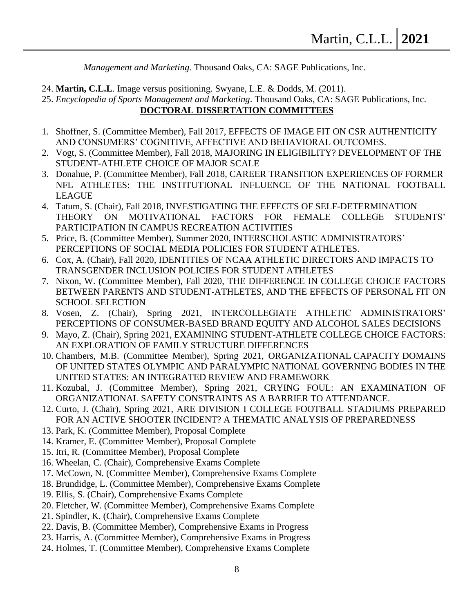*Management and Marketing*. Thousand Oaks, CA: SAGE Publications, Inc.

### 24. **Martin, C.L.L**. Image versus positioning. Swyane, L.E. & Dodds, M. (2011).

25. *Encyclopedia of Sports Management and Marketing*. Thousand Oaks, CA: SAGE Publications, Inc. **DOCTORAL DISSERTATION COMMITTEES**

- 1. Shoffner, S. (Committee Member), Fall 2017, EFFECTS OF IMAGE FIT ON CSR AUTHENTICITY AND CONSUMERS' COGNITIVE, AFFECTIVE AND BEHAVIORAL OUTCOMES.
- 2. Vogt, S. (Committee Member), Fall 2018, MAJORING IN ELIGIBILITY? DEVELOPMENT OF THE STUDENT-ATHLETE CHOICE OF MAJOR SCALE
- 3. Donahue, P. (Committee Member), Fall 2018, CAREER TRANSITION EXPERIENCES OF FORMER NFL ATHLETES: THE INSTITUTIONAL INFLUENCE OF THE NATIONAL FOOTBALL LEAGUE
- 4. Tatum, S. (Chair), Fall 2018, INVESTIGATING THE EFFECTS OF SELF-DETERMINATION THEORY ON MOTIVATIONAL FACTORS FOR FEMALE COLLEGE STUDENTS' PARTICIPATION IN CAMPUS RECREATION ACTIVITIES
- 5. Price, B. (Committee Member), Summer 2020, INTERSCHOLASTIC ADMINISTRATORS' PERCEPTIONS OF SOCIAL MEDIA POLICIES FOR STUDENT ATHLETES.
- 6. Cox, A. (Chair), Fall 2020, IDENTITIES OF NCAA ATHLETIC DIRECTORS AND IMPACTS TO TRANSGENDER INCLUSION POLICIES FOR STUDENT ATHLETES
- 7. Nixon, W. (Committee Member), Fall 2020, THE DIFFERENCE IN COLLEGE CHOICE FACTORS BETWEEN PARENTS AND STUDENT-ATHLETES, AND THE EFFECTS OF PERSONAL FIT ON SCHOOL SELECTION
- 8. Vosen, Z. (Chair), Spring 2021, INTERCOLLEGIATE ATHLETIC ADMINISTRATORS' PERCEPTIONS OF CONSUMER-BASED BRAND EQUITY AND ALCOHOL SALES DECISIONS
- 9. Mayo, Z. (Chair), Spring 2021, EXAMINING STUDENT-ATHLETE COLLEGE CHOICE FACTORS: AN EXPLORATION OF FAMILY STRUCTURE DIFFERENCES
- 10. Chambers, M.B. (Committee Member), Spring 2021, ORGANIZATIONAL CAPACITY DOMAINS OF UNITED STATES OLYMPIC AND PARALYMPIC NATIONAL GOVERNING BODIES IN THE UNITED STATES: AN INTEGRATED REVIEW AND FRAMEWORK
- 11. Kozubal, J. (Committee Member), Spring 2021, CRYING FOUL: AN EXAMINATION OF ORGANIZATIONAL SAFETY CONSTRAINTS AS A BARRIER TO ATTENDANCE.
- 12. Curto, J. (Chair), Spring 2021, ARE DIVISION I COLLEGE FOOTBALL STADIUMS PREPARED FOR AN ACTIVE SHOOTER INCIDENT? A THEMATIC ANALYSIS OF PREPAREDNESS
- 13. Park, K. (Committee Member), Proposal Complete
- 14. Kramer, E. (Committee Member), Proposal Complete
- 15. Itri, R. (Committee Member), Proposal Complete
- 16. Wheelan, C. (Chair), Comprehensive Exams Complete
- 17. McCown, N. (Committee Member), Comprehensive Exams Complete
- 18. Brundidge, L. (Committee Member), Comprehensive Exams Complete
- 19. Ellis, S. (Chair), Comprehensive Exams Complete
- 20. Fletcher, W. (Committee Member), Comprehensive Exams Complete
- 21. Spindler, K. (Chair), Comprehensive Exams Complete
- 22. Davis, B. (Committee Member), Comprehensive Exams in Progress
- 23. Harris, A. (Committee Member), Comprehensive Exams in Progress
- 24. Holmes, T. (Committee Member), Comprehensive Exams Complete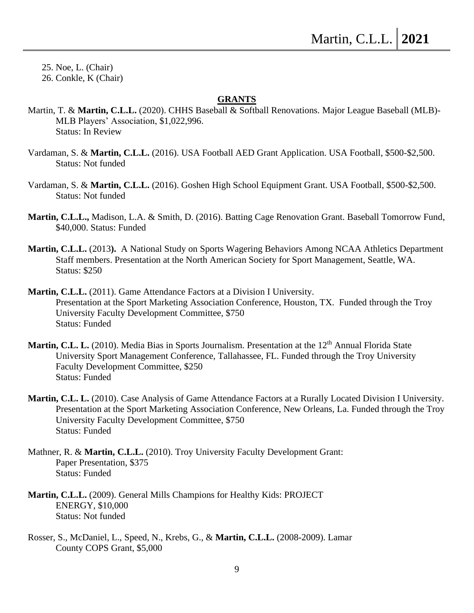25. Noe, L. (Chair) 26. Conkle, K (Chair)

### **GRANTS**

- Martin, T. & **Martin, C.L.L.** (2020). CHHS Baseball & Softball Renovations. Major League Baseball (MLB)- MLB Players' Association, \$1,022,996. Status: In Review
- Vardaman, S. & **Martin, C.L.L.** (2016). USA Football AED Grant Application. USA Football, \$500-\$2,500. Status: Not funded
- Vardaman, S. & **Martin, C.L.L.** (2016). Goshen High School Equipment Grant. USA Football, \$500-\$2,500. Status: Not funded
- **Martin, C.L.L.,** Madison, L.A. & Smith, D. (2016). Batting Cage Renovation Grant. Baseball Tomorrow Fund, \$40,000. Status: Funded
- **Martin, C.L.L.** (2013**).** A National Study on Sports Wagering Behaviors Among NCAA Athletics Department Staff members. Presentation at the North American Society for Sport Management, Seattle, WA. Status: \$250
- **Martin, C.L.L.** (2011). Game Attendance Factors at a Division I University. Presentation at the Sport Marketing Association Conference, Houston, TX. Funded through the Troy University Faculty Development Committee, \$750 Status: Funded
- **Martin, C.L. L.** (2010). Media Bias in Sports Journalism. Presentation at the 12<sup>th</sup> Annual Florida State University Sport Management Conference, Tallahassee, FL. Funded through the Troy University Faculty Development Committee, \$250 Status: Funded
- **Martin, C.L. L.** (2010). Case Analysis of Game Attendance Factors at a Rurally Located Division I University. Presentation at the Sport Marketing Association Conference, New Orleans, La. Funded through the Troy University Faculty Development Committee, \$750 Status: Funded
- Mathner, R. & **Martin, C.L.L.** (2010). Troy University Faculty Development Grant: Paper Presentation, \$375 Status: Funded
- **Martin, C.L.L.** (2009). General Mills Champions for Healthy Kids: PROJECT ENERGY, \$10,000 Status: Not funded
- Rosser, S., McDaniel, L., Speed, N., Krebs, G., & **Martin, C.L.L.** (2008-2009). Lamar County COPS Grant, \$5,000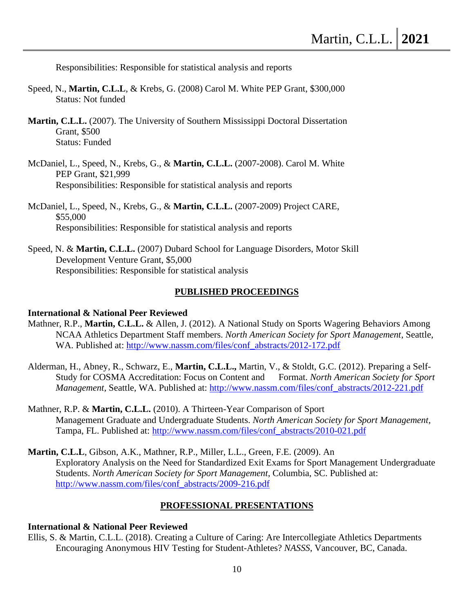Responsibilities: Responsible for statistical analysis and reports

- Speed, N., **Martin, C.L.L**, & Krebs, G. (2008) Carol M. White PEP Grant, \$300,000 Status: Not funded
- **Martin, C.L.L.** (2007). The University of Southern Mississippi Doctoral Dissertation Grant, \$500 Status: Funded
- McDaniel, L., Speed, N., Krebs, G., & **Martin, C.L.L.** (2007-2008). Carol M. White PEP Grant, \$21,999 Responsibilities: Responsible for statistical analysis and reports

McDaniel, L., Speed, N., Krebs, G., & **Martin, C.L.L.** (2007-2009) Project CARE, \$55,000 Responsibilities: Responsible for statistical analysis and reports

Speed, N. & **Martin, C.L.L.** (2007) Dubard School for Language Disorders, Motor Skill Development Venture Grant, \$5,000 Responsibilities: Responsible for statistical analysis

### **PUBLISHED PROCEEDINGS**

### **International & National Peer Reviewed**

- Mathner, R.P., **Martin, C.L.L.** & Allen, J. (2012). A National Study on Sports Wagering Behaviors Among NCAA Athletics Department Staff members. *North American Society for Sport Management*, Seattle, WA. Published at: [http://www.nassm.com/files/conf\\_abstracts/2012-172.pdf](http://www.nassm.com/files/conf_abstracts/2012-172.pdf)
- Alderman, H., Abney, R., Schwarz, E., **Martin, C.L.L.,** Martin, V., & Stoldt, G.C. (2012). Preparing a Self-Study for COSMA Accreditation: Focus on Content and Format. *North American Society for Sport Management,* Seattle, WA. Published at: [http://www.nassm.com/files/conf\\_abstracts/2012-221.pdf](http://www.nassm.com/files/conf_abstracts/2012-221.pdf)
- Mathner, R.P. & **Martin, C.L.L.** (2010). A Thirteen-Year Comparison of Sport Management Graduate and Undergraduate Students. *North American Society for Sport Management,*  Tampa, FL. Published at: [http://www.nassm.com/files/conf\\_abstracts/2010-021.pdf](http://www.nassm.com/files/conf_abstracts/2010-021.pdf)
- **Martin, C.L.L**, Gibson, A.K., Mathner, R.P., Miller, L.L., Green, F.E. (2009). An Exploratory Analysis on the Need for Standardized Exit Exams for Sport Management Undergraduate Students. *North American Society for Sport Management*, Columbia, SC. Published at: [http://www.nassm.com/files/conf\\_abstracts/2009-216.pdf](http://www.nassm.com/files/conf_abstracts/2009-216.pdf)

### **PROFESSIONAL PRESENTATIONS**

### **International & National Peer Reviewed**

Ellis, S. & Martin, C.L.L. (2018). Creating a Culture of Caring: Are Intercollegiate Athletics Departments Encouraging Anonymous HIV Testing for Student-Athletes? *NASSS*, Vancouver, BC, Canada.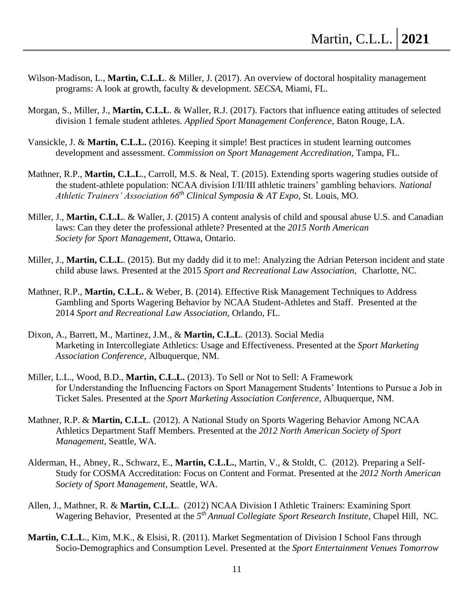- Wilson-Madison, L., **Martin, C.L.L**. & Miller, J. (2017). An overview of doctoral hospitality management programs: A look at growth, faculty & development. *SECSA*, Miami, FL.
- Morgan, S., Miller, J., **Martin, C.L.L**. & Waller, R.J. (2017). Factors that influence eating attitudes of selected division 1 female student athletes. *Applied Sport Management Conference*, Baton Rouge, LA.
- Vansickle, J. & **Martin, C.L.L.** (2016). Keeping it simple! Best practices in student learning outcomes development and assessment. *Commission on Sport Management Accreditation*, Tampa, FL.
- Mathner, R.P., **Martin, C.L.L**., Carroll, M.S. & Neal, T. (2015). Extending sports wagering studies outside of the student-athlete population: NCAA division I/II/III athletic trainers' gambling behaviors. *National Athletic Trainers' Association 66th Clinical Symposia & AT Expo*, St. Louis, MO.
- Miller, J., **Martin, C.L.L**. & Waller, J. (2015) A content analysis of child and spousal abuse U.S. and Canadian laws: Can they deter the professional athlete? Presented at the *2015 North American Society for Sport Management*, Ottawa, Ontario.
- Miller, J., **Martin, C.L.L**. (2015). But my daddy did it to me!: Analyzing the Adrian Peterson incident and state child abuse laws. Presented at the 2015 *Sport and Recreational Law Association*, Charlotte, NC.
- Mathner, R.P., **Martin, C.L.L.** & Weber, B. (2014). Effective Risk Management Techniques to Address Gambling and Sports Wagering Behavior by NCAA Student-Athletes and Staff. Presented at the 2014 *Sport and Recreational Law Association,* Orlando, FL.
- Dixon, A., Barrett, M., Martinez, J.M., & **Martin, C.L.L**. (2013). Social Media Marketing in Intercollegiate Athletics: Usage and Effectiveness. Presented at the *Sport Marketing Association Conference*, Albuquerque, NM.
- Miller, L.L., Wood, B.D., **Martin, C.L.L.** (2013). To Sell or Not to Sell: A Framework for Understanding the Influencing Factors on Sport Management Students' Intentions to Pursue a Job in Ticket Sales. Presented at the *Sport Marketing Association Conference*, Albuquerque, NM.
- Mathner, R.P. & **Martin, C.L.L**. (2012). A National Study on Sports Wagering Behavior Among NCAA Athletics Department Staff Members. Presented at the *2012 North American Society of Sport Management*, Seattle, WA.
- Alderman, H., Abney, R., Schwarz, E., **Martin, C.L.L.**, Martin, V., & Stoldt, C. (2012). Preparing a Self-Study for COSMA Accreditation: Focus on Content and Format. Presented at the *2012 North American Society of Sport Management*, Seattle, WA.
- Allen, J., Mathner, R. & **Martin, C.L.L**. (2012) NCAA Division I Athletic Trainers: Examining Sport Wagering Behavior, Presented at the *5 th Annual Collegiate Sport Research Institute*, Chapel Hill, NC.
- **Martin, C.L.L**., Kim, M.K., & Elsisi, R. (2011). Market Segmentation of Division I School Fans through Socio-Demographics and Consumption Level. Presented at the *Sport Entertainment Venues Tomorrow*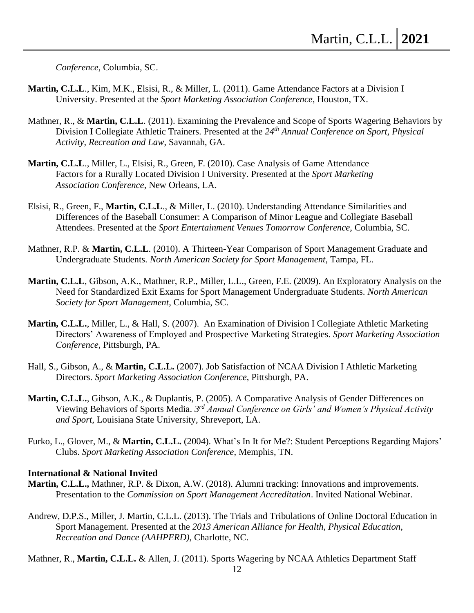*Conference*, Columbia, SC.

- **Martin, C.L.L**., Kim, M.K., Elsisi, R., & Miller, L. (2011). Game Attendance Factors at a Division I University. Presented at the *Sport Marketing Association Conference*, Houston, TX.
- Mathner, R., & **Martin, C.L.L**. (2011). Examining the Prevalence and Scope of Sports Wagering Behaviors by Division I Collegiate Athletic Trainers. Presented at the *24th Annual Conference on Sport, Physical Activity, Recreation and Law*, Savannah, GA.
- **Martin, C.L.L**., Miller, L., Elsisi, R., Green, F. (2010). Case Analysis of Game Attendance Factors for a Rurally Located Division I University. Presented at the *Sport Marketing Association Conference*, New Orleans, LA.
- Elsisi, R., Green, F., **Martin, C.L.L**., & Miller, L. (2010). Understanding Attendance Similarities and Differences of the Baseball Consumer: A Comparison of Minor League and Collegiate Baseball Attendees. Presented at the *Sport Entertainment Venues Tomorrow Conference*, Columbia, SC.
- Mathner, R.P. & **Martin, C.L.L**. (2010). A Thirteen-Year Comparison of Sport Management Graduate and Undergraduate Students. *North American Society for Sport Management,* Tampa, FL.
- **Martin, C.L.L**, Gibson, A.K., Mathner, R.P., Miller, L.L., Green, F.E. (2009). An Exploratory Analysis on the Need for Standardized Exit Exams for Sport Management Undergraduate Students. *North American Society for Sport Management*, Columbia, SC.
- **Martin, C.L.L.**, Miller, L., & Hall, S. (2007). An Examination of Division I Collegiate Athletic Marketing Directors' Awareness of Employed and Prospective Marketing Strategies. *Sport Marketing Association Conference*, Pittsburgh, PA.
- Hall, S., Gibson, A., & **Martin, C.L.L.** (2007). Job Satisfaction of NCAA Division I Athletic Marketing Directors. *Sport Marketing Association Conference*, Pittsburgh, PA.
- **Martin, C.L.L.**, Gibson, A.K., & Duplantis, P. (2005). A Comparative Analysis of Gender Differences on Viewing Behaviors of Sports Media. *3 rd Annual Conference on Girls' and Women's Physical Activity and Sport*, Louisiana State University, Shreveport, LA.
- Furko, L., Glover, M., & **Martin, C.L.L.** (2004). What's In It for Me?: Student Perceptions Regarding Majors' Clubs. *Sport Marketing Association Conference*, Memphis, TN.

### **International & National Invited**

- **Martin, C.L.L.,** Mathner, R.P. & Dixon, A.W. (2018). Alumni tracking: Innovations and improvements. Presentation to the *Commission on Sport Management Accreditation*. Invited National Webinar.
- Andrew, D.P.S., Miller, J. Martin, C.L.L. (2013). The Trials and Tribulations of Online Doctoral Education in Sport Management. Presented at the *2013 American Alliance for Health, Physical Education, Recreation and Dance (AAHPERD),* Charlotte, NC.

Mathner, R., **Martin, C.L.L.** & Allen, J. (2011). Sports Wagering by NCAA Athletics Department Staff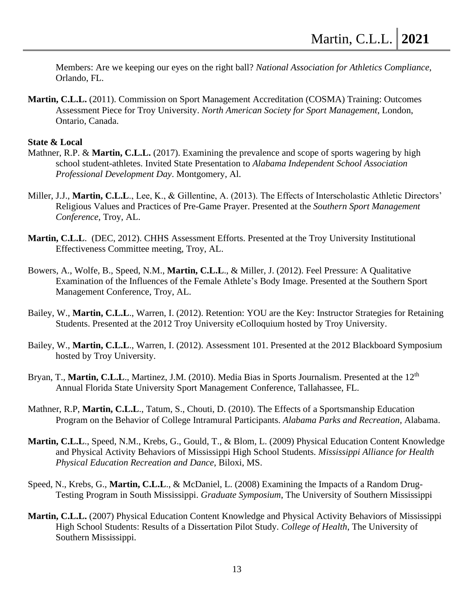Members: Are we keeping our eyes on the right ball? *National Association for Athletics Compliance*, Orlando, FL.

**Martin, C.L.L.** (2011). Commission on Sport Management Accreditation (COSMA) Training: Outcomes Assessment Piece for Troy University. *North American Society for Sport Management*, London, Ontario, Canada.

### **State & Local**

- Mathner, R.P. & Martin, C.L.L. (2017). Examining the prevalence and scope of sports wagering by high school student-athletes. Invited State Presentation to *Alabama Independent School Association Professional Development Day*. Montgomery, Al.
- Miller, J.J., **Martin, C.L.L**., Lee, K., & Gillentine, A. (2013). The Effects of Interscholastic Athletic Directors' Religious Values and Practices of Pre-Game Prayer. Presented at the *Southern Sport Management Conference*, Troy, AL.
- **Martin, C.L.L**. (DEC, 2012). CHHS Assessment Efforts. Presented at the Troy University Institutional Effectiveness Committee meeting, Troy, AL.
- Bowers, A., Wolfe, B., Speed, N.M., **Martin, C.L.L**., & Miller, J. (2012). Feel Pressure: A Qualitative Examination of the Influences of the Female Athlete's Body Image. Presented at the Southern Sport Management Conference, Troy, AL.
- Bailey, W., **Martin, C.L.L**., Warren, I. (2012). Retention: YOU are the Key: Instructor Strategies for Retaining Students. Presented at the 2012 Troy University eColloquium hosted by Troy University.
- Bailey, W., **Martin, C.L.L**., Warren, I. (2012). Assessment 101. Presented at the 2012 Blackboard Symposium hosted by Troy University.
- Bryan, T., Martin, C.L.L., Martinez, J.M. (2010). Media Bias in Sports Journalism. Presented at the 12<sup>th</sup> Annual Florida State University Sport Management Conference, Tallahassee, FL.
- Mathner, R.P, **Martin, C.L.L**., Tatum, S., Chouti, D. (2010). The Effects of a Sportsmanship Education Program on the Behavior of College Intramural Participants. *Alabama Parks and Recreation,* Alabama.
- **Martin, C.L.L**., Speed, N.M., Krebs, G., Gould, T., & Blom, L. (2009) Physical Education Content Knowledge and Physical Activity Behaviors of Mississippi High School Students. *Mississippi Alliance for Health Physical Education Recreation and Dance*, Biloxi, MS.
- Speed, N., Krebs, G., **Martin, C.L.L**., & McDaniel, L. (2008) Examining the Impacts of a Random Drug-Testing Program in South Mississippi. *Graduate Symposium*, The University of Southern Mississippi
- **Martin, C.L.L.** (2007) Physical Education Content Knowledge and Physical Activity Behaviors of Mississippi High School Students: Results of a Dissertation Pilot Study. *College of Health*, The University of Southern Mississippi.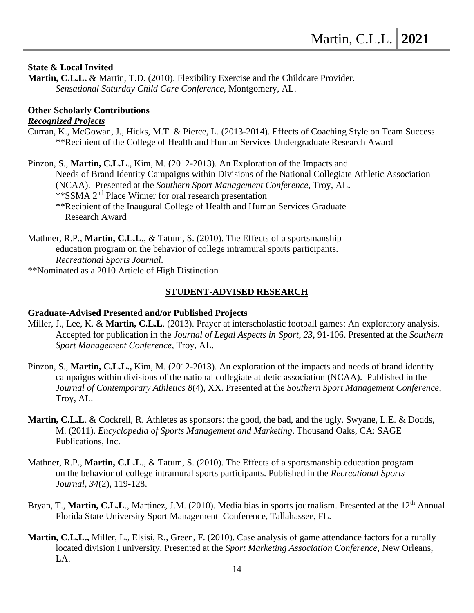### **State & Local Invited**

**Martin, C.L.L.** & Martin, T.D. (2010). Flexibility Exercise and the Childcare Provider. *Sensational Saturday Child Care Conference,* Montgomery, AL.

### **Other Scholarly Contributions** *Recognized Projects*

Curran, K., McGowan, J., Hicks, M.T. & Pierce, L. (2013-2014). Effects of Coaching Style on Team Success. \*\*Recipient of the College of Health and Human Services Undergraduate Research Award

Pinzon, S., **Martin, C.L.L**., Kim, M. (2012-2013). An Exploration of the Impacts and Needs of Brand Identity Campaigns within Divisions of the National Collegiate Athletic Association (NCAA). Presented at the *Southern Sport Management Conference*, Troy, AL**.**  \*\*SSMA 2nd Place Winner for oral research presentation \*\*Recipient of the Inaugural College of Health and Human Services Graduate Research Award

Mathner, R.P., **Martin, C.L.L**., & Tatum, S. (2010). The Effects of a sportsmanship education program on the behavior of college intramural sports participants. *Recreational Sports Journal*. \*\*Nominated as a 2010 Article of High Distinction

### **STUDENT-ADVISED RESEARCH**

### **Graduate-Advised Presented and/or Published Projects**

- Miller, J., Lee, K. & **Martin, C.L.L**. (2013). Prayer at interscholastic football games: An exploratory analysis. Accepted for publication in the *Journal of Legal Aspects in Sport*, *23*, 91-106. Presented at the *Southern Sport Management Conference*, Troy, AL.
- Pinzon, S., **Martin, C.L.L.,** Kim, M. (2012-2013). An exploration of the impacts and needs of brand identity campaigns within divisions of the national collegiate athletic association (NCAA). Published in the *Journal of Contemporary Athletics 8*(4), XX. Presented at the *Southern Sport Management Conference*, Troy, AL.
- **Martin, C.L.L**. & Cockrell, R. Athletes as sponsors: the good, the bad, and the ugly. Swyane, L.E. & Dodds, M. (2011). *Encyclopedia of Sports Management and Marketing*. Thousand Oaks, CA: SAGE Publications, Inc.
- Mathner, R.P., **Martin, C.L.L**., & Tatum, S. (2010). The Effects of a sportsmanship education program on the behavior of college intramural sports participants. Published in the *Recreational Sports Journal, 34*(2), 119-128.
- Bryan, T., Martin, C.L.L., Martinez, J.M. (2010). Media bias in sports journalism. Presented at the 12<sup>th</sup> Annual Florida State University Sport Management Conference, Tallahassee, FL.
- **Martin, C.L.L.,** Miller, L., Elsisi, R., Green, F. (2010). Case analysis of game attendance factors for a rurally located division I university. Presented at the *Sport Marketing Association Conference*, New Orleans, LA.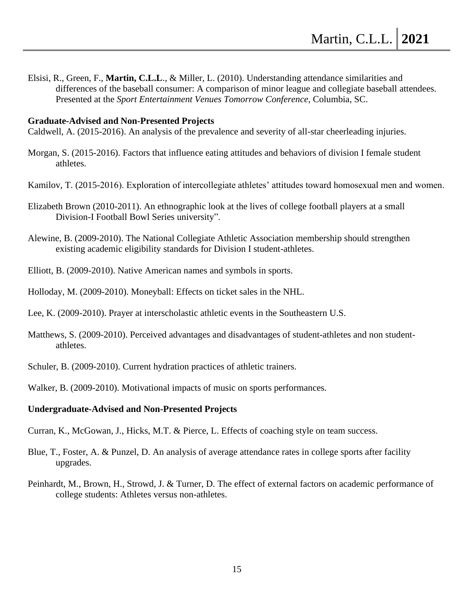Elsisi, R., Green, F., **Martin, C.L.L**., & Miller, L. (2010). Understanding attendance similarities and differences of the baseball consumer: A comparison of minor league and collegiate baseball attendees. Presented at the *Sport Entertainment Venues Tomorrow Conference*, Columbia, SC.

### **Graduate-Advised and Non-Presented Projects**

Caldwell, A. (2015-2016). An analysis of the prevalence and severity of all-star cheerleading injuries.

- Morgan, S. (2015-2016). Factors that influence eating attitudes and behaviors of division I female student athletes.
- Kamilov, T. (2015-2016). Exploration of intercollegiate athletes' attitudes toward homosexual men and women.
- Elizabeth Brown (2010-2011). An ethnographic look at the lives of college football players at a small Division-I Football Bowl Series university".
- Alewine, B. (2009-2010). The National Collegiate Athletic Association membership should strengthen existing academic eligibility standards for Division I student-athletes.
- Elliott, B. (2009-2010). Native American names and symbols in sports.
- Holloday, M. (2009-2010). Moneyball: Effects on ticket sales in the NHL.
- Lee, K. (2009-2010). Prayer at interscholastic athletic events in the Southeastern U.S.
- Matthews, S. (2009-2010). Perceived advantages and disadvantages of student-athletes and non studentathletes.
- Schuler, B. (2009-2010). Current hydration practices of athletic trainers.

Walker, B. (2009-2010). Motivational impacts of music on sports performances.

### **Undergraduate-Advised and Non-Presented Projects**

Curran, K., McGowan, J., Hicks, M.T. & Pierce, L. Effects of coaching style on team success.

- Blue, T., Foster, A. & Punzel, D. An analysis of average attendance rates in college sports after facility upgrades.
- Peinhardt, M., Brown, H., Strowd, J. & Turner, D. The effect of external factors on academic performance of college students: Athletes versus non-athletes.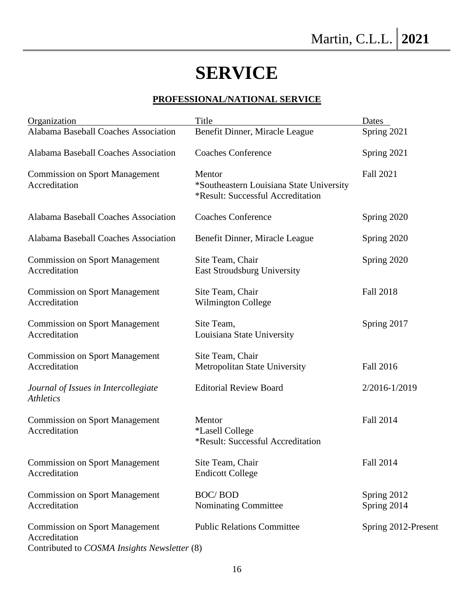# **SERVICE**

# **PROFESSIONAL/NATIONAL SERVICE**

| Organization                                                                                           | Title                                                                                   | Dates                      |
|--------------------------------------------------------------------------------------------------------|-----------------------------------------------------------------------------------------|----------------------------|
| Alabama Baseball Coaches Association                                                                   | Benefit Dinner, Miracle League                                                          | Spring 2021                |
| Alabama Baseball Coaches Association                                                                   | <b>Coaches Conference</b>                                                               | Spring 2021                |
| <b>Commission on Sport Management</b><br>Accreditation                                                 | Mentor<br>*Southeastern Louisiana State University<br>*Result: Successful Accreditation | <b>Fall 2021</b>           |
| Alabama Baseball Coaches Association                                                                   | <b>Coaches Conference</b>                                                               | Spring 2020                |
| Alabama Baseball Coaches Association                                                                   | Benefit Dinner, Miracle League                                                          | Spring 2020                |
| <b>Commission on Sport Management</b><br>Accreditation                                                 | Site Team, Chair<br><b>East Stroudsburg University</b>                                  | Spring 2020                |
| <b>Commission on Sport Management</b><br>Accreditation                                                 | Site Team, Chair<br><b>Wilmington College</b>                                           | <b>Fall 2018</b>           |
| <b>Commission on Sport Management</b><br>Accreditation                                                 | Site Team,<br>Louisiana State University                                                | Spring 2017                |
| <b>Commission on Sport Management</b><br>Accreditation                                                 | Site Team, Chair<br>Metropolitan State University                                       | <b>Fall 2016</b>           |
| Journal of Issues in Intercollegiate<br><b>Athletics</b>                                               | <b>Editorial Review Board</b>                                                           | 2/2016-1/2019              |
| <b>Commission on Sport Management</b><br>Accreditation                                                 | Mentor<br><i><b>*Lasell College</b></i><br>*Result: Successful Accreditation            | <b>Fall 2014</b>           |
| <b>Commission on Sport Management</b><br>Accreditation                                                 | Site Team, Chair<br><b>Endicott College</b>                                             | Fall 2014                  |
| <b>Commission on Sport Management</b><br>Accreditation                                                 | <b>BOC/BOD</b><br>Nominating Committee                                                  | Spring 2012<br>Spring 2014 |
| <b>Commission on Sport Management</b><br>Accreditation<br>Contributed to COSMA Insights Newsletter (8) | <b>Public Relations Committee</b>                                                       | Spring 2012-Present        |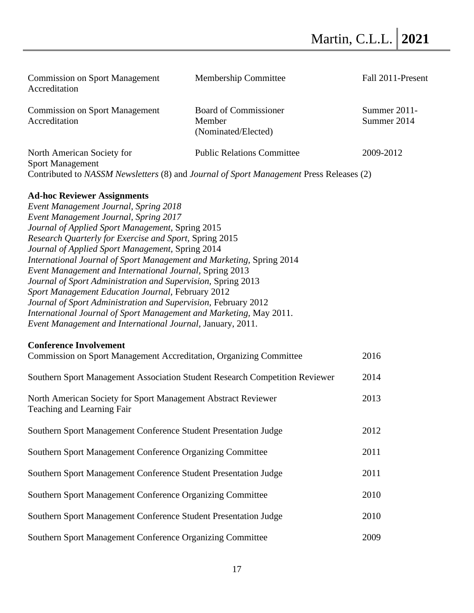| <b>Commission on Sport Management</b><br>Accreditation                                                                                                                                                                                                                                                                                                                                                                                                                                                                                                                                                                                                                                                                                               | <b>Membership Committee</b>                                                                                                  | Fall 2011-Present           |
|------------------------------------------------------------------------------------------------------------------------------------------------------------------------------------------------------------------------------------------------------------------------------------------------------------------------------------------------------------------------------------------------------------------------------------------------------------------------------------------------------------------------------------------------------------------------------------------------------------------------------------------------------------------------------------------------------------------------------------------------------|------------------------------------------------------------------------------------------------------------------------------|-----------------------------|
| <b>Commission on Sport Management</b><br>Accreditation                                                                                                                                                                                                                                                                                                                                                                                                                                                                                                                                                                                                                                                                                               | <b>Board of Commissioner</b><br>Member<br>(Nominated/Elected)                                                                | Summer 2011-<br>Summer 2014 |
| North American Society for<br><b>Sport Management</b>                                                                                                                                                                                                                                                                                                                                                                                                                                                                                                                                                                                                                                                                                                | <b>Public Relations Committee</b><br>Contributed to NASSM Newsletters (8) and Journal of Sport Management Press Releases (2) | 2009-2012                   |
| <b>Ad-hoc Reviewer Assignments</b><br>Event Management Journal, Spring 2018<br>Event Management Journal, Spring 2017<br>Journal of Applied Sport Management, Spring 2015<br>Research Quarterly for Exercise and Sport, Spring 2015<br>Journal of Applied Sport Management, Spring 2014<br>International Journal of Sport Management and Marketing, Spring 2014<br>Event Management and International Journal, Spring 2013<br>Journal of Sport Administration and Supervision, Spring 2013<br>Sport Management Education Journal, February 2012<br>Journal of Sport Administration and Supervision, February 2012<br>International Journal of Sport Management and Marketing, May 2011.<br>Event Management and International Journal, January, 2011. |                                                                                                                              |                             |
| <b>Conference Involvement</b><br>Commission on Sport Management Accreditation, Organizing Committee                                                                                                                                                                                                                                                                                                                                                                                                                                                                                                                                                                                                                                                  |                                                                                                                              | 2016                        |
|                                                                                                                                                                                                                                                                                                                                                                                                                                                                                                                                                                                                                                                                                                                                                      | Southern Sport Management Association Student Research Competition Reviewer                                                  | 2014                        |
| North American Society for Sport Management Abstract Reviewer<br>Teaching and Learning Fair                                                                                                                                                                                                                                                                                                                                                                                                                                                                                                                                                                                                                                                          |                                                                                                                              | 2013                        |
| Southern Sport Management Conference Student Presentation Judge                                                                                                                                                                                                                                                                                                                                                                                                                                                                                                                                                                                                                                                                                      |                                                                                                                              | 2012                        |
| Southern Sport Management Conference Organizing Committee                                                                                                                                                                                                                                                                                                                                                                                                                                                                                                                                                                                                                                                                                            |                                                                                                                              | 2011                        |
| Southern Sport Management Conference Student Presentation Judge                                                                                                                                                                                                                                                                                                                                                                                                                                                                                                                                                                                                                                                                                      |                                                                                                                              | 2011                        |
| Southern Sport Management Conference Organizing Committee                                                                                                                                                                                                                                                                                                                                                                                                                                                                                                                                                                                                                                                                                            |                                                                                                                              | 2010                        |
| Southern Sport Management Conference Student Presentation Judge                                                                                                                                                                                                                                                                                                                                                                                                                                                                                                                                                                                                                                                                                      |                                                                                                                              | 2010                        |
| Southern Sport Management Conference Organizing Committee                                                                                                                                                                                                                                                                                                                                                                                                                                                                                                                                                                                                                                                                                            |                                                                                                                              | 2009                        |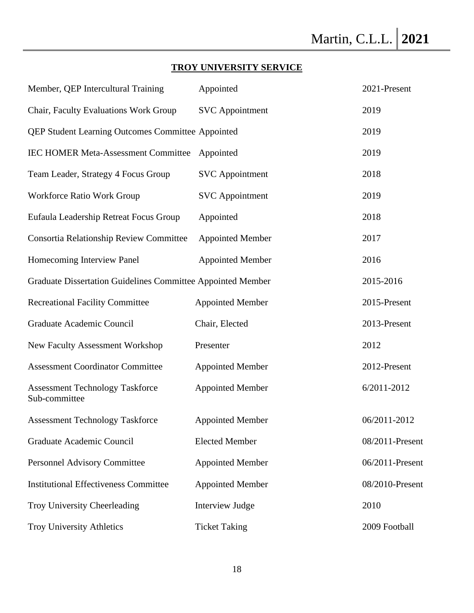## **TROY UNIVERSITY SERVICE**

| Member, QEP Intercultural Training                          | Appointed               | 2021-Present    |
|-------------------------------------------------------------|-------------------------|-----------------|
| Chair, Faculty Evaluations Work Group                       | <b>SVC</b> Appointment  | 2019            |
| QEP Student Learning Outcomes Committee Appointed           |                         | 2019            |
| <b>IEC HOMER Meta-Assessment Committee</b>                  | Appointed               | 2019            |
| Team Leader, Strategy 4 Focus Group                         | <b>SVC</b> Appointment  | 2018            |
| Workforce Ratio Work Group                                  | <b>SVC</b> Appointment  | 2019            |
| Eufaula Leadership Retreat Focus Group                      | Appointed               | 2018            |
| Consortia Relationship Review Committee                     | <b>Appointed Member</b> | 2017            |
| Homecoming Interview Panel                                  | <b>Appointed Member</b> | 2016            |
| Graduate Dissertation Guidelines Committee Appointed Member |                         | 2015-2016       |
| <b>Recreational Facility Committee</b>                      | <b>Appointed Member</b> | 2015-Present    |
| Graduate Academic Council                                   | Chair, Elected          | 2013-Present    |
| New Faculty Assessment Workshop                             | Presenter               | 2012            |
| <b>Assessment Coordinator Committee</b>                     | <b>Appointed Member</b> | 2012-Present    |
| <b>Assessment Technology Taskforce</b><br>Sub-committee     | <b>Appointed Member</b> | 6/2011-2012     |
| <b>Assessment Technology Taskforce</b>                      | <b>Appointed Member</b> | 06/2011-2012    |
| Graduate Academic Council                                   | <b>Elected Member</b>   | 08/2011-Present |
| <b>Personnel Advisory Committee</b>                         | <b>Appointed Member</b> | 06/2011-Present |
| <b>Institutional Effectiveness Committee</b>                | <b>Appointed Member</b> | 08/2010-Present |
| <b>Troy University Cheerleading</b>                         | Interview Judge         | 2010            |
| <b>Troy University Athletics</b>                            | <b>Ticket Taking</b>    | 2009 Football   |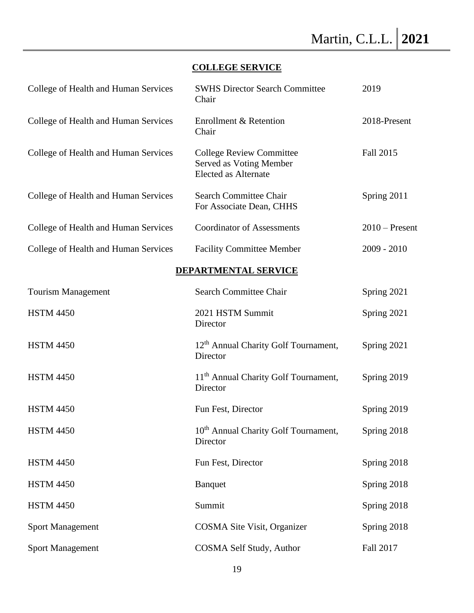## **COLLEGE SERVICE**

| College of Health and Human Services | <b>SWHS Director Search Committee</b><br>Chair                                            | 2019             |
|--------------------------------------|-------------------------------------------------------------------------------------------|------------------|
| College of Health and Human Services | Enrollment & Retention<br>Chair                                                           | 2018-Present     |
| College of Health and Human Services | <b>College Review Committee</b><br>Served as Voting Member<br><b>Elected as Alternate</b> | Fall 2015        |
| College of Health and Human Services | <b>Search Committee Chair</b><br>For Associate Dean, CHHS                                 | Spring 2011      |
| College of Health and Human Services | <b>Coordinator of Assessments</b>                                                         | $2010$ – Present |
| College of Health and Human Services | <b>Facility Committee Member</b>                                                          | $2009 - 2010$    |
|                                      | <b>DEPARTMENTAL SERVICE</b>                                                               |                  |
| <b>Tourism Management</b>            | <b>Search Committee Chair</b>                                                             | Spring 2021      |
| <b>HSTM 4450</b>                     | 2021 HSTM Summit<br>Director                                                              | Spring 2021      |
| <b>HSTM 4450</b>                     | 12 <sup>th</sup> Annual Charity Golf Tournament,<br>Director                              | Spring 2021      |
| <b>HSTM 4450</b>                     | 11 <sup>th</sup> Annual Charity Golf Tournament,<br>Director                              | Spring 2019      |
| <b>HSTM 4450</b>                     | Fun Fest, Director                                                                        | Spring 2019      |
| <b>HSTM 4450</b>                     | 10 <sup>th</sup> Annual Charity Golf Tournament,<br>Director                              | Spring 2018      |
| <b>HSTM 4450</b>                     | Fun Fest, Director                                                                        | Spring 2018      |
| <b>HSTM 4450</b>                     | <b>Banquet</b>                                                                            | Spring 2018      |
| <b>HSTM 4450</b>                     | Summit                                                                                    | Spring 2018      |
| <b>Sport Management</b>              | COSMA Site Visit, Organizer                                                               | Spring 2018      |
| <b>Sport Management</b>              | COSMA Self Study, Author                                                                  | Fall 2017        |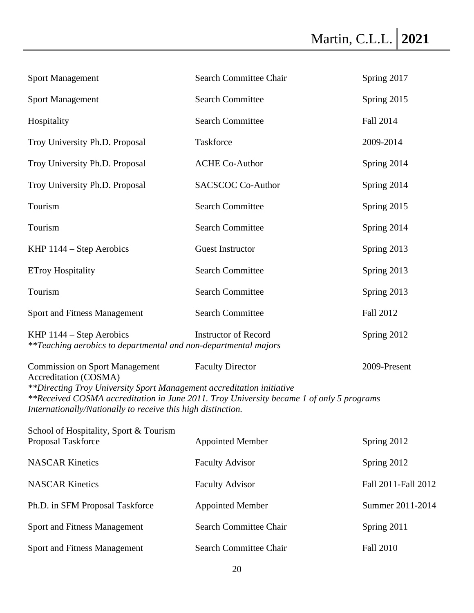| <b>Search Committee Chair</b> | Spring 2017                                                                                                                                                                                                                                                                                          |
|-------------------------------|------------------------------------------------------------------------------------------------------------------------------------------------------------------------------------------------------------------------------------------------------------------------------------------------------|
| <b>Search Committee</b>       | Spring 2015                                                                                                                                                                                                                                                                                          |
| <b>Search Committee</b>       | Fall 2014                                                                                                                                                                                                                                                                                            |
| Taskforce                     | 2009-2014                                                                                                                                                                                                                                                                                            |
| <b>ACHE Co-Author</b>         | Spring 2014                                                                                                                                                                                                                                                                                          |
| <b>SACSCOC Co-Author</b>      | Spring 2014                                                                                                                                                                                                                                                                                          |
| <b>Search Committee</b>       | Spring 2015                                                                                                                                                                                                                                                                                          |
| <b>Search Committee</b>       | Spring 2014                                                                                                                                                                                                                                                                                          |
| <b>Guest Instructor</b>       | Spring 2013                                                                                                                                                                                                                                                                                          |
| <b>Search Committee</b>       | Spring 2013                                                                                                                                                                                                                                                                                          |
| <b>Search Committee</b>       | Spring 2013                                                                                                                                                                                                                                                                                          |
| <b>Search Committee</b>       | <b>Fall 2012</b>                                                                                                                                                                                                                                                                                     |
| <b>Instructor of Record</b>   | Spring 2012                                                                                                                                                                                                                                                                                          |
| <b>Faculty Director</b>       | 2009-Present                                                                                                                                                                                                                                                                                         |
| <b>Appointed Member</b>       | Spring 2012                                                                                                                                                                                                                                                                                          |
| <b>Faculty Advisor</b>        | Spring 2012                                                                                                                                                                                                                                                                                          |
| <b>Faculty Advisor</b>        | Fall 2011-Fall 2012                                                                                                                                                                                                                                                                                  |
| <b>Appointed Member</b>       | Summer 2011-2014                                                                                                                                                                                                                                                                                     |
| Search Committee Chair        | Spring 2011                                                                                                                                                                                                                                                                                          |
| Search Committee Chair        | <b>Fall 2010</b>                                                                                                                                                                                                                                                                                     |
|                               | **Teaching aerobics to departmental and non-departmental majors<br>**Directing Troy University Sport Management accreditation initiative<br>**Received COSMA accreditation in June 2011. Troy University became 1 of only 5 programs<br>Internationally/Nationally to receive this high distinction. |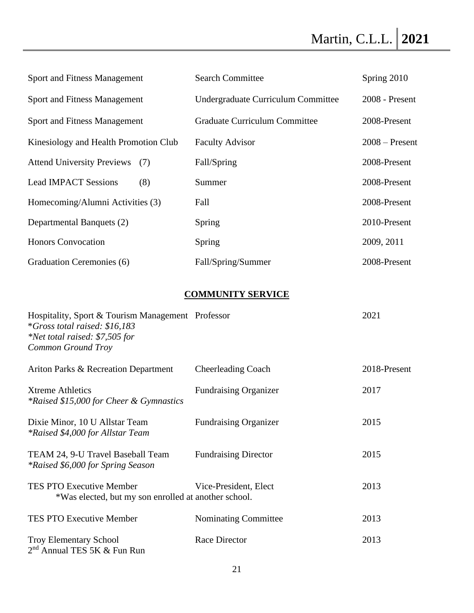| <b>Sport and Fitness Management</b>                                                                                                               | <b>Search Committee</b>              | Spring 2010      |
|---------------------------------------------------------------------------------------------------------------------------------------------------|--------------------------------------|------------------|
| <b>Sport and Fitness Management</b>                                                                                                               | Undergraduate Curriculum Committee   | 2008 - Present   |
| Sport and Fitness Management                                                                                                                      | <b>Graduate Curriculum Committee</b> | 2008-Present     |
| Kinesiology and Health Promotion Club                                                                                                             | <b>Faculty Advisor</b>               | $2008 -$ Present |
| <b>Attend University Previews</b><br>(7)                                                                                                          | Fall/Spring                          | 2008-Present     |
| <b>Lead IMPACT Sessions</b><br>(8)                                                                                                                | Summer                               | 2008-Present     |
| Homecoming/Alumni Activities (3)                                                                                                                  | Fall                                 | 2008-Present     |
| Departmental Banquets (2)                                                                                                                         | Spring                               | 2010-Present     |
| <b>Honors Convocation</b>                                                                                                                         | Spring                               | 2009, 2011       |
| Graduation Ceremonies (6)                                                                                                                         | Fall/Spring/Summer                   | 2008-Present     |
|                                                                                                                                                   | <b>COMMUNITY SERVICE</b>             |                  |
| Hospitality, Sport & Tourism Management Professor<br>*Gross total raised: \$16,183<br>*Net total raised: \$7,505 for<br><b>Common Ground Troy</b> |                                      | 2021             |
| Ariton Parks & Recreation Department                                                                                                              | <b>Cheerleading Coach</b>            | 2018-Present     |
| <b>Xtreme Athletics</b><br>*Raised \$15,000 for Cheer & Gymnastics                                                                                | <b>Fundraising Organizer</b>         | 2017             |
| Dixie Minor, 10 U Allstar Team<br>*Raised \$4,000 for Allstar Team                                                                                | <b>Fundraising Organizer</b>         | 2015             |
| TEAM 24, 9-U Travel Baseball Team<br><i>*Raised \$6,000 for Spring Season</i>                                                                     | <b>Fundraising Director</b>          | 2015             |
| <b>TES PTO Executive Member</b><br>*Was elected, but my son enrolled at another school.                                                           | Vice-President, Elect                | 2013             |
| <b>TES PTO Executive Member</b>                                                                                                                   | Nominating Committee                 | 2013             |
| <b>Troy Elementary School</b><br>2 <sup>nd</sup> Annual TES 5K & Fun Run                                                                          | Race Director                        | 2013             |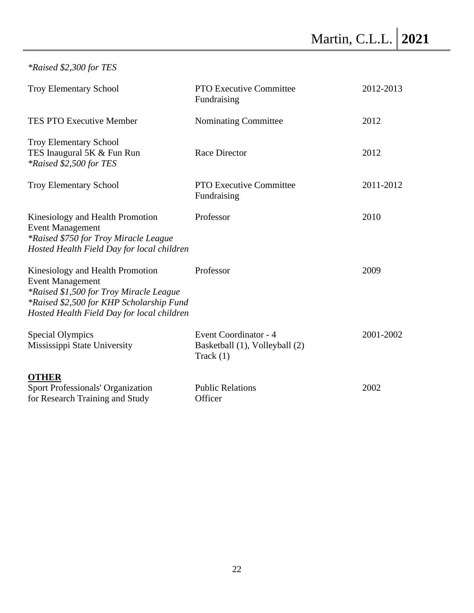# *\*Raised \$2,300 for TES*

| <b>Troy Elementary School</b>                                                                                                                                                                    | <b>PTO Executive Committee</b><br>Fundraising                          | 2012-2013 |
|--------------------------------------------------------------------------------------------------------------------------------------------------------------------------------------------------|------------------------------------------------------------------------|-----------|
| <b>TES PTO Executive Member</b>                                                                                                                                                                  | Nominating Committee                                                   | 2012      |
| <b>Troy Elementary School</b><br>TES Inaugural 5K & Fun Run<br>*Raised \$2,500 for TES                                                                                                           | <b>Race Director</b>                                                   | 2012      |
| <b>Troy Elementary School</b>                                                                                                                                                                    | <b>PTO Executive Committee</b><br>Fundraising                          | 2011-2012 |
| Kinesiology and Health Promotion<br><b>Event Management</b><br>*Raised \$750 for Troy Miracle League<br>Hosted Health Field Day for local children                                               | Professor                                                              | 2010      |
| Kinesiology and Health Promotion<br><b>Event Management</b><br>*Raised \$1,500 for Troy Miracle League<br>*Raised \$2,500 for KHP Scholarship Fund<br>Hosted Health Field Day for local children | Professor                                                              | 2009      |
| <b>Special Olympics</b><br>Mississippi State University                                                                                                                                          | Event Coordinator - 4<br>Basketball (1), Volleyball (2)<br>Track $(1)$ | 2001-2002 |
| <b>OTHER</b><br>Sport Professionals' Organization<br>for Research Training and Study                                                                                                             | <b>Public Relations</b><br>Officer                                     | 2002      |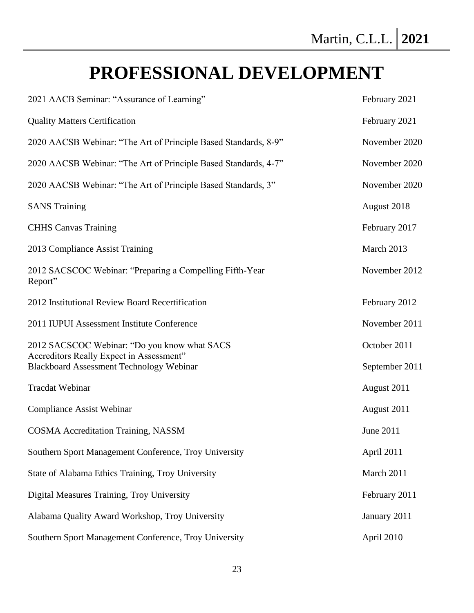# **PROFESSIONAL DEVELOPMENT**

| 2021 AACB Seminar: "Assurance of Learning"                                               | February 2021  |
|------------------------------------------------------------------------------------------|----------------|
| <b>Quality Matters Certification</b>                                                     | February 2021  |
| 2020 AACSB Webinar: "The Art of Principle Based Standards, 8-9"                          | November 2020  |
| 2020 AACSB Webinar: "The Art of Principle Based Standards, 4-7"                          | November 2020  |
| 2020 AACSB Webinar: "The Art of Principle Based Standards, 3"                            | November 2020  |
| <b>SANS Training</b>                                                                     | August 2018    |
| <b>CHHS Canvas Training</b>                                                              | February 2017  |
| 2013 Compliance Assist Training                                                          | March 2013     |
| 2012 SACSCOC Webinar: "Preparing a Compelling Fifth-Year<br>Report"                      | November 2012  |
| 2012 Institutional Review Board Recertification                                          | February 2012  |
| 2011 IUPUI Assessment Institute Conference                                               | November 2011  |
| 2012 SACSCOC Webinar: "Do you know what SACS<br>Accreditors Really Expect in Assessment" | October 2011   |
| <b>Blackboard Assessment Technology Webinar</b>                                          | September 2011 |
| <b>Tracdat Webinar</b>                                                                   | August 2011    |
| <b>Compliance Assist Webinar</b>                                                         | August 2011    |
| <b>COSMA</b> Accreditation Training, NASSM                                               | June 2011      |
| Southern Sport Management Conference, Troy University                                    | April 2011     |
| State of Alabama Ethics Training, Troy University                                        | March 2011     |
| Digital Measures Training, Troy University                                               | February 2011  |
| Alabama Quality Award Workshop, Troy University                                          | January 2011   |
| Southern Sport Management Conference, Troy University                                    | April 2010     |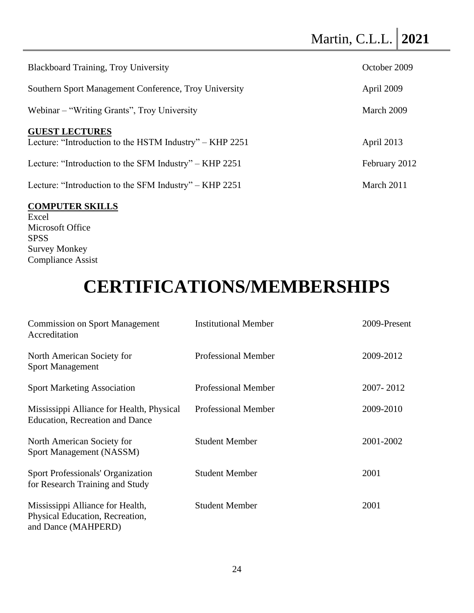| <b>Blackboard Training, Troy University</b>                                      | October 2009  |
|----------------------------------------------------------------------------------|---------------|
| Southern Sport Management Conference, Troy University                            | April 2009    |
| Webinar – "Writing Grants", Troy University                                      | March 2009    |
| <b>GUEST LECTURES</b><br>Lecture: "Introduction to the HSTM Industry" – KHP 2251 | April 2013    |
| Lecture: "Introduction to the SFM Industry" – KHP 2251                           | February 2012 |
| Lecture: "Introduction to the SFM Industry" – KHP 2251                           | March 2011    |
| <b>COMPUTER SKILLS</b>                                                           |               |

Excel Microsoft Office SPSS Survey Monkey Compliance Assist

# **CERTIFICATIONS/MEMBERSHIPS**

| <b>Commission on Sport Management</b><br>Accreditation                                     | <b>Institutional Member</b> | 2009-Present |
|--------------------------------------------------------------------------------------------|-----------------------------|--------------|
| North American Society for<br><b>Sport Management</b>                                      | <b>Professional Member</b>  | 2009-2012    |
| <b>Sport Marketing Association</b>                                                         | <b>Professional Member</b>  | 2007-2012    |
| Mississippi Alliance for Health, Physical<br><b>Education, Recreation and Dance</b>        | <b>Professional Member</b>  | 2009-2010    |
| North American Society for<br>Sport Management (NASSM)                                     | <b>Student Member</b>       | 2001-2002    |
| Sport Professionals' Organization<br>for Research Training and Study                       | <b>Student Member</b>       | 2001         |
| Mississippi Alliance for Health,<br>Physical Education, Recreation,<br>and Dance (MAHPERD) | <b>Student Member</b>       | 2001         |